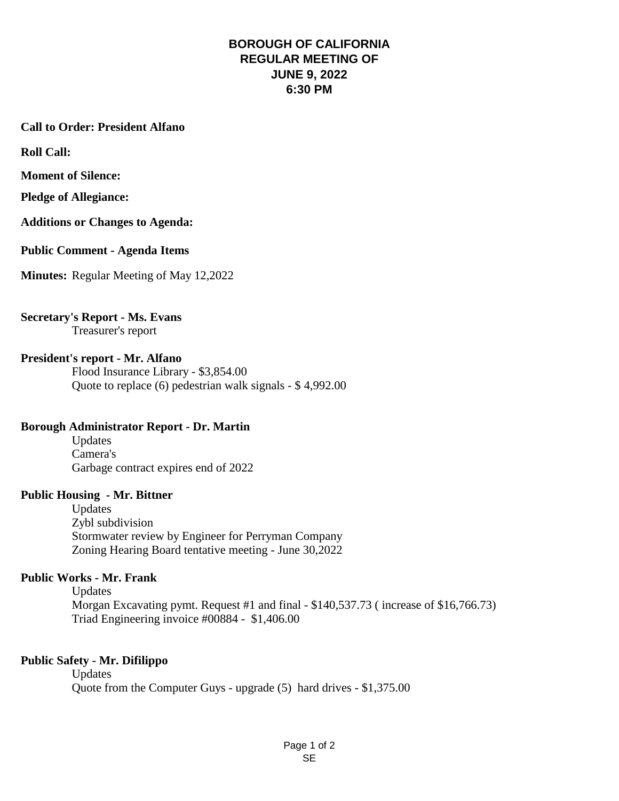## **BOROUGH OF CALIFORNIA REGULAR MEETING OF JUNE 9, 2022 6:30 PM**

# **Call to Order: President Alfano**

**Roll Call:**

**Moment of Silence:** 

**Pledge of Allegiance:** 

**Additions or Changes to Agenda:**

**Public Comment - Agenda Items**

**Minutes:** Regular Meeting of May 12,2022

#### **Secretary's Report - Ms. Evans** Treasurer's report

#### **President's report - Mr. Alfano**

Flood Insurance Library - \$3,854.00 Quote to replace (6) pedestrian walk signals - \$ 4,992.00

#### **Borough Administrator Report - Dr. Martin**

Updates Camera's Garbage contract expires end of 2022

#### **Public Housing - Mr. Bittner**

Updates Zybl subdivision Stormwater review by Engineer for Perryman Company Zoning Hearing Board tentative meeting - June 30,2022

#### **Public Works - Mr. Frank**

Updates Morgan Excavating pymt. Request #1 and final - \$140,537.73 ( increase of \$16,766.73) Triad Engineering invoice #00884 - \$1,406.00

#### **Public Safety - Mr. Difilippo**

Updates Quote from the Computer Guys - upgrade (5) hard drives - \$1,375.00